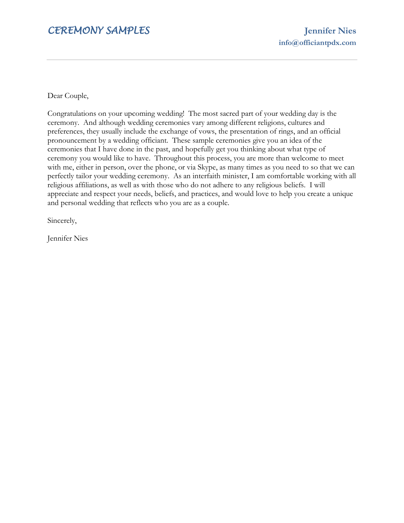# *CEREMONY SAMPLES* **Jennifer Nies**

Dear Couple,

Congratulations on your upcoming wedding! The most sacred part of your wedding day is the ceremony. And although wedding ceremonies vary among different religions, cultures and preferences, they usually include the exchange of vows, the presentation of rings, and an official pronouncement by a wedding officiant. These sample ceremonies give you an idea of the ceremonies that I have done in the past, and hopefully get you thinking about what type of ceremony you would like to have. Throughout this process, you are more than welcome to meet with me, either in person, over the phone, or via Skype, as many times as you need to so that we can perfectly tailor your wedding ceremony. As an interfaith minister, I am comfortable working with all religious affiliations, as well as with those who do not adhere to any religious beliefs. I will appreciate and respect your needs, beliefs, and practices, and would love to help you create a unique and personal wedding that reflects who you are as a couple.

Sincerely,

Jennifer Nies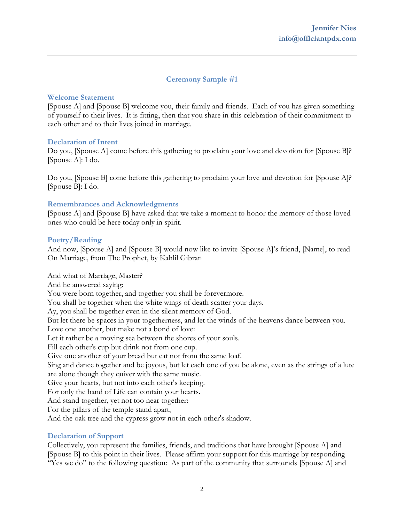# **Ceremony Sample #1**

### **Welcome Statement**

[Spouse A] and [Spouse B] welcome you, their family and friends. Each of you has given something of yourself to their lives. It is fitting, then that you share in this celebration of their commitment to each other and to their lives joined in marriage.

### **Declaration of Intent**

Do you, [Spouse A] come before this gathering to proclaim your love and devotion for [Spouse B]? [Spouse A]: I do.

Do you, [Spouse B] come before this gathering to proclaim your love and devotion for [Spouse A]? [Spouse B]: I do.

### **Remembrances and Acknowledgments**

[Spouse A] and [Spouse B] have asked that we take a moment to honor the memory of those loved ones who could be here today only in spirit.

### **Poetry/Reading**

And now, [Spouse A] and [Spouse B] would now like to invite [Spouse A]'s friend, [Name], to read On Marriage, from The Prophet, by Kahlil Gibran

And what of Marriage, Master? And he answered saying: You were born together, and together you shall be forevermore. You shall be together when the white wings of death scatter your days. Ay, you shall be together even in the silent memory of God. But let there be spaces in your togetherness, and let the winds of the heavens dance between you. Love one another, but make not a bond of love: Let it rather be a moving sea between the shores of your souls. Fill each other's cup but drink not from one cup. Give one another of your bread but eat not from the same loaf. Sing and dance together and be joyous, but let each one of you be alone, even as the strings of a lute are alone though they quiver with the same music. Give your hearts, but not into each other's keeping. For only the hand of Life can contain your hearts. And stand together, yet not too near together: For the pillars of the temple stand apart, And the oak tree and the cypress grow not in each other's shadow.

### **Declaration of Support**

Collectively, you represent the families, friends, and traditions that have brought [Spouse A] and [Spouse B] to this point in their lives. Please affirm your support for this marriage by responding "Yes we do" to the following question: As part of the community that surrounds [Spouse A] and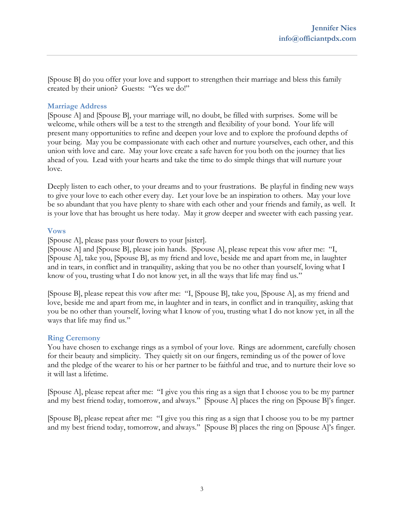[Spouse B] do you offer your love and support to strengthen their marriage and bless this family created by their union? Guests: "Yes we do!"

### **Marriage Address**

[Spouse A] and [Spouse B], your marriage will, no doubt, be filled with surprises. Some will be welcome, while others will be a test to the strength and flexibility of your bond. Your life will present many opportunities to refine and deepen your love and to explore the profound depths of your being. May you be compassionate with each other and nurture yourselves, each other, and this union with love and care. May your love create a safe haven for you both on the journey that lies ahead of you. Lead with your hearts and take the time to do simple things that will nurture your love.

Deeply listen to each other, to your dreams and to your frustrations. Be playful in finding new ways to give your love to each other every day. Let your love be an inspiration to others. May your love be so abundant that you have plenty to share with each other and your friends and family, as well. It is your love that has brought us here today. May it grow deeper and sweeter with each passing year.

### **Vows**

[Spouse A], please pass your flowers to your [sister].

[Spouse A] and [Spouse B], please join hands. [Spouse A], please repeat this vow after me: "I, [Spouse A], take you, [Spouse B], as my friend and love, beside me and apart from me, in laughter and in tears, in conflict and in tranquility, asking that you be no other than yourself, loving what I know of you, trusting what I do not know yet, in all the ways that life may find us."

[Spouse B], please repeat this vow after me: "I, [Spouse B], take you, [Spouse A], as my friend and love, beside me and apart from me, in laughter and in tears, in conflict and in tranquility, asking that you be no other than yourself, loving what I know of you, trusting what I do not know yet, in all the ways that life may find us."

### **Ring Ceremony**

You have chosen to exchange rings as a symbol of your love. Rings are adornment, carefully chosen for their beauty and simplicity. They quietly sit on our fingers, reminding us of the power of love and the pledge of the wearer to his or her partner to be faithful and true, and to nurture their love so it will last a lifetime.

[Spouse A], please repeat after me: "I give you this ring as a sign that I choose you to be my partner and my best friend today, tomorrow, and always." [Spouse A] places the ring on [Spouse B]'s finger.

[Spouse B], please repeat after me: "I give you this ring as a sign that I choose you to be my partner and my best friend today, tomorrow, and always." [Spouse B] places the ring on [Spouse A]'s finger.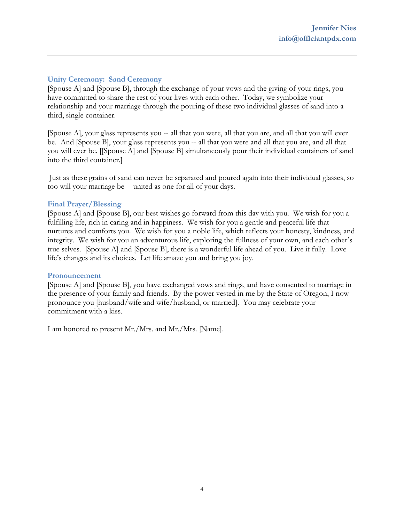# **Unity Ceremony: Sand Ceremony**

[Spouse A] and [Spouse B], through the exchange of your vows and the giving of your rings, you have committed to share the rest of your lives with each other. Today, we symbolize your relationship and your marriage through the pouring of these two individual glasses of sand into a third, single container.

[Spouse A], your glass represents you -- all that you were, all that you are, and all that you will ever be. And [Spouse B], your glass represents you -- all that you were and all that you are, and all that you will ever be. [[Spouse A] and [Spouse B] simultaneously pour their individual containers of sand into the third container.]

Just as these grains of sand can never be separated and poured again into their individual glasses, so too will your marriage be -- united as one for all of your days.

# **Final Prayer/Blessing**

[Spouse A] and [Spouse B], our best wishes go forward from this day with you. We wish for you a fulfilling life, rich in caring and in happiness. We wish for you a gentle and peaceful life that nurtures and comforts you. We wish for you a noble life, which reflects your honesty, kindness, and integrity. We wish for you an adventurous life, exploring the fullness of your own, and each other's true selves. [Spouse A] and [Spouse B], there is a wonderful life ahead of you. Live it fully. Love life's changes and its choices. Let life amaze you and bring you joy.

### **Pronouncement**

[Spouse A] and [Spouse B], you have exchanged vows and rings, and have consented to marriage in the presence of your family and friends. By the power vested in me by the State of Oregon, I now pronounce you [husband/wife and wife/husband, or married]. You may celebrate your commitment with a kiss.

I am honored to present Mr./Mrs. and Mr./Mrs. [Name].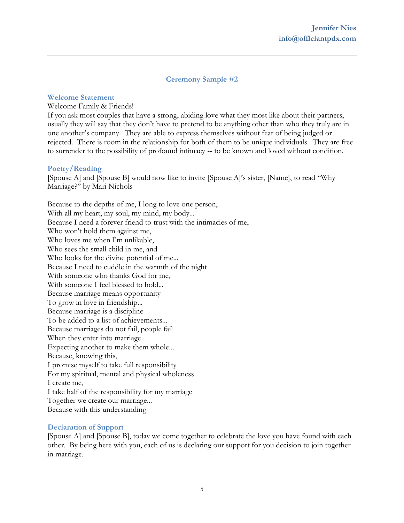# **Ceremony Sample #2**

### **Welcome Statement**

#### Welcome Family & Friends!

If you ask most couples that have a strong, abiding love what they most like about their partners, usually they will say that they don't have to pretend to be anything other than who they truly are in one another's company. They are able to express themselves without fear of being judged or rejected. There is room in the relationship for both of them to be unique individuals. They are free to surrender to the possibility of profound intimacy -- to be known and loved without condition.

### **Poetry/Reading**

[Spouse A] and [Spouse B] would now like to invite [Spouse A]'s sister, [Name], to read "Why Marriage?" by Mari Nichols

Because to the depths of me, I long to love one person, With all my heart, my soul, my mind, my body... Because I need a forever friend to trust with the intimacies of me, Who won't hold them against me, Who loves me when I'm unlikable, Who sees the small child in me, and Who looks for the divine potential of me... Because I need to cuddle in the warmth of the night With someone who thanks God for me, With someone I feel blessed to hold... Because marriage means opportunity To grow in love in friendship... Because marriage is a discipline To be added to a list of achievements... Because marriages do not fail, people fail When they enter into marriage Expecting another to make them whole... Because, knowing this, I promise myself to take full responsibility For my spiritual, mental and physical wholeness I create me, I take half of the responsibility for my marriage Together we create our marriage... Because with this understanding

### **Declaration of Support**

[Spouse A] and [Spouse B], today we come together to celebrate the love you have found with each other. By being here with you, each of us is declaring our support for you decision to join together in marriage.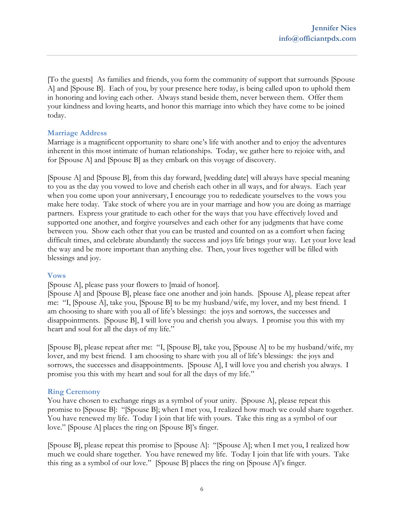[To the guests] As families and friends, you form the community of support that surrounds [Spouse A] and [Spouse B]. Each of you, by your presence here today, is being called upon to uphold them in honoring and loving each other. Always stand beside them, never between them. Offer them your kindness and loving hearts, and honor this marriage into which they have come to be joined today.

# **Marriage Address**

Marriage is a magnificent opportunity to share one's life with another and to enjoy the adventures inherent in this most intimate of human relationships. Today, we gather here to rejoice with, and for [Spouse A] and [Spouse B] as they embark on this voyage of discovery.

[Spouse A] and [Spouse B], from this day forward, [wedding date] will always have special meaning to you as the day you vowed to love and cherish each other in all ways, and for always. Each year when you come upon your anniversary, I encourage you to rededicate yourselves to the vows you make here today. Take stock of where you are in your marriage and how you are doing as marriage partners. Express your gratitude to each other for the ways that you have effectively loved and supported one another, and forgive yourselves and each other for any judgments that have come between you. Show each other that you can be trusted and counted on as a comfort when facing difficult times, and celebrate abundantly the success and joys life brings your way. Let your love lead the way and be more important than anything else. Then, your lives together will be filled with blessings and joy.

### **Vows**

[Spouse A], please pass your flowers to [maid of honor].

[Spouse A] and [Spouse B], please face one another and join hands. [Spouse A], please repeat after me: "I, [Spouse A], take you, [Spouse B] to be my husband/wife, my lover, and my best friend. I am choosing to share with you all of life's blessings: the joys and sorrows, the successes and disappointments. [Spouse B], I will love you and cherish you always. I promise you this with my heart and soul for all the days of my life."

[Spouse B], please repeat after me: "I, [Spouse B], take you, [Spouse A] to be my husband/wife, my lover, and my best friend. I am choosing to share with you all of life's blessings: the joys and sorrows, the successes and disappointments. [Spouse A], I will love you and cherish you always. I promise you this with my heart and soul for all the days of my life."

# **Ring Ceremony**

You have chosen to exchange rings as a symbol of your unity. [Spouse A], please repeat this promise to [Spouse B]: "[Spouse B]; when I met you, I realized how much we could share together. You have renewed my life. Today I join that life with yours. Take this ring as a symbol of our love." [Spouse A] places the ring on [Spouse B]'s finger.

[Spouse B], please repeat this promise to [Spouse A]: "[Spouse A]; when I met you, I realized how much we could share together. You have renewed my life. Today I join that life with yours. Take this ring as a symbol of our love." [Spouse B] places the ring on [Spouse A]'s finger.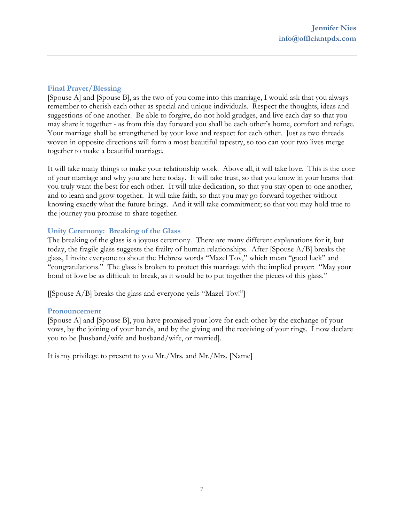# **Final Prayer/Blessing**

[Spouse A] and [Spouse B], as the two of you come into this marriage, I would ask that you always remember to cherish each other as special and unique individuals. Respect the thoughts, ideas and suggestions of one another. Be able to forgive, do not hold grudges, and live each day so that you may share it together - as from this day forward you shall be each other's home, comfort and refuge. Your marriage shall be strengthened by your love and respect for each other. Just as two threads woven in opposite directions will form a most beautiful tapestry, so too can your two lives merge together to make a beautiful marriage.

It will take many things to make your relationship work. Above all, it will take love. This is the core of your marriage and why you are here today. It will take trust, so that you know in your hearts that you truly want the best for each other. It will take dedication, so that you stay open to one another, and to learn and grow together. It will take faith, so that you may go forward together without knowing exactly what the future brings. And it will take commitment; so that you may hold true to the journey you promise to share together.

# **Unity Ceremony: Breaking of the Glass**

The breaking of the glass is a joyous ceremony. There are many different explanations for it, but today, the fragile glass suggests the frailty of human relationships. After [Spouse A/B] breaks the glass, I invite everyone to shout the Hebrew words "Mazel Tov," which mean "good luck" and "congratulations." The glass is broken to protect this marriage with the implied prayer: "May your bond of love be as difficult to break, as it would be to put together the pieces of this glass."

[[Spouse A/B] breaks the glass and everyone yells "Mazel Tov!"]

### **Pronouncement**

[Spouse A] and [Spouse B], you have promised your love for each other by the exchange of your vows, by the joining of your hands, and by the giving and the receiving of your rings. I now declare you to be [husband/wife and husband/wife, or married].

It is my privilege to present to you Mr./Mrs. and Mr./Mrs. [Name]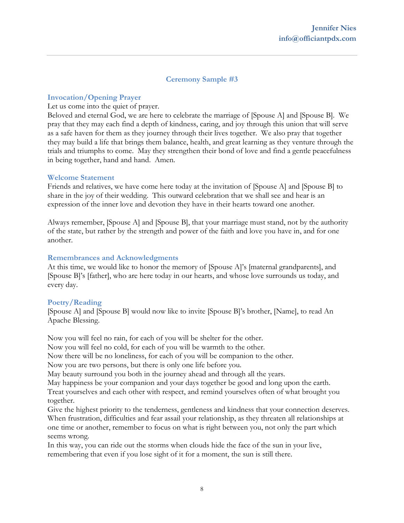# **Ceremony Sample #3**

# **Invocation/Opening Prayer**

### Let us come into the quiet of prayer.

Beloved and eternal God, we are here to celebrate the marriage of [Spouse A] and [Spouse B]. We pray that they may each find a depth of kindness, caring, and joy through this union that will serve as a safe haven for them as they journey through their lives together. We also pray that together they may build a life that brings them balance, health, and great learning as they venture through the trials and triumphs to come. May they strengthen their bond of love and find a gentle peacefulness in being together, hand and hand. Amen.

### **Welcome Statement**

Friends and relatives, we have come here today at the invitation of [Spouse A] and [Spouse B] to share in the joy of their wedding. This outward celebration that we shall see and hear is an expression of the inner love and devotion they have in their hearts toward one another.

Always remember, [Spouse A] and [Spouse B], that your marriage must stand, not by the authority of the state, but rather by the strength and power of the faith and love you have in, and for one another.

### **Remembrances and Acknowledgments**

At this time, we would like to honor the memory of [Spouse A]'s [maternal grandparents], and [Spouse B]'s [father], who are here today in our hearts, and whose love surrounds us today, and every day.

### **Poetry/Reading**

[Spouse A] and [Spouse B] would now like to invite [Spouse B]'s brother, [Name], to read An Apache Blessing.

Now you will feel no rain, for each of you will be shelter for the other.

Now you will feel no cold, for each of you will be warmth to the other.

Now there will be no loneliness, for each of you will be companion to the other.

Now you are two persons, but there is only one life before you.

May beauty surround you both in the journey ahead and through all the years.

May happiness be your companion and your days together be good and long upon the earth. Treat yourselves and each other with respect, and remind yourselves often of what brought you together.

Give the highest priority to the tenderness, gentleness and kindness that your connection deserves. When frustration, difficulties and fear assail your relationship, as they threaten all relationships at one time or another, remember to focus on what is right between you, not only the part which seems wrong.

In this way, you can ride out the storms when clouds hide the face of the sun in your live, remembering that even if you lose sight of it for a moment, the sun is still there.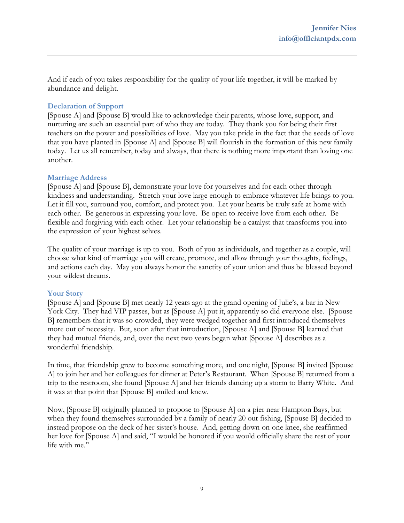And if each of you takes responsibility for the quality of your life together, it will be marked by abundance and delight.

# **Declaration of Support**

[Spouse A] and [Spouse B] would like to acknowledge their parents, whose love, support, and nurturing are such an essential part of who they are today. They thank you for being their first teachers on the power and possibilities of love. May you take pride in the fact that the seeds of love that you have planted in [Spouse A] and [Spouse B] will flourish in the formation of this new family today. Let us all remember, today and always, that there is nothing more important than loving one another.

### **Marriage Address**

[Spouse A] and [Spouse B], demonstrate your love for yourselves and for each other through kindness and understanding. Stretch your love large enough to embrace whatever life brings to you. Let it fill you, surround you, comfort, and protect you. Let your hearts be truly safe at home with each other. Be generous in expressing your love. Be open to receive love from each other. Be flexible and forgiving with each other. Let your relationship be a catalyst that transforms you into the expression of your highest selves.

The quality of your marriage is up to you. Both of you as individuals, and together as a couple, will choose what kind of marriage you will create, promote, and allow through your thoughts, feelings, and actions each day. May you always honor the sanctity of your union and thus be blessed beyond your wildest dreams.

# **Your Story**

[Spouse A] and [Spouse B] met nearly 12 years ago at the grand opening of Julie's, a bar in New York City. They had VIP passes, but as [Spouse A] put it, apparently so did everyone else. [Spouse] B] remembers that it was so crowded, they were wedged together and first introduced themselves more out of necessity. But, soon after that introduction, [Spouse A] and [Spouse B] learned that they had mutual friends, and, over the next two years began what [Spouse A] describes as a wonderful friendship.

In time, that friendship grew to become something more, and one night, [Spouse B] invited [Spouse A] to join her and her colleagues for dinner at Peter's Restaurant. When [Spouse B] returned from a trip to the restroom, she found [Spouse A] and her friends dancing up a storm to Barry White. And it was at that point that [Spouse B] smiled and knew.

Now, [Spouse B] originally planned to propose to [Spouse A] on a pier near Hampton Bays, but when they found themselves surrounded by a family of nearly 20 out fishing, [Spouse B] decided to instead propose on the deck of her sister's house. And, getting down on one knee, she reaffirmed her love for [Spouse A] and said, "I would be honored if you would officially share the rest of your life with me."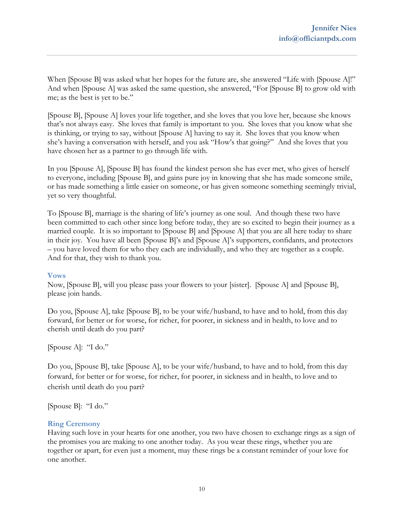When [Spouse B] was asked what her hopes for the future are, she answered "Life with [Spouse A]!" And when [Spouse A] was asked the same question, she answered, "For [Spouse B] to grow old with me; as the best is yet to be."

[Spouse B], [Spouse A] loves your life together, and she loves that you love her, because she knows that's not always easy. She loves that family is important to you. She loves that you know what she is thinking, or trying to say, without [Spouse A] having to say it. She loves that you know when she's having a conversation with herself, and you ask "How's that going?" And she loves that you have chosen her as a partner to go through life with.

In you [Spouse A], [Spouse B] has found the kindest person she has ever met, who gives of herself to everyone, including [Spouse B], and gains pure joy in knowing that she has made someone smile, or has made something a little easier on someone, or has given someone something seemingly trivial, yet so very thoughtful.

To [Spouse B], marriage is the sharing of life's journey as one soul. And though these two have been committed to each other since long before today, they are so excited to begin their journey as a married couple. It is so important to [Spouse B] and [Spouse A] that you are all here today to share in their joy. You have all been [Spouse B]'s and [Spouse A]'s supporters, confidants, and protectors – you have loved them for who they each are individually, and who they are together as a couple. And for that, they wish to thank you.

### **Vows**

Now, [Spouse B], will you please pass your flowers to your [sister]. [Spouse A] and [Spouse B], please join hands.

Do you, [Spouse A], take [Spouse B], to be your wife/husband, to have and to hold, from this day forward, for better or for worse, for richer, for poorer, in sickness and in health, to love and to cherish until death do you part?

[Spouse A]: "I do."

Do you, [Spouse B], take [Spouse A], to be your wife/husband, to have and to hold, from this day forward, for better or for worse, for richer, for poorer, in sickness and in health, to love and to cherish until death do you part?

[Spouse B]: "I do."

### **Ring Ceremony**

Having such love in your hearts for one another, you two have chosen to exchange rings as a sign of the promises you are making to one another today. As you wear these rings, whether you are together or apart, for even just a moment, may these rings be a constant reminder of your love for one another.